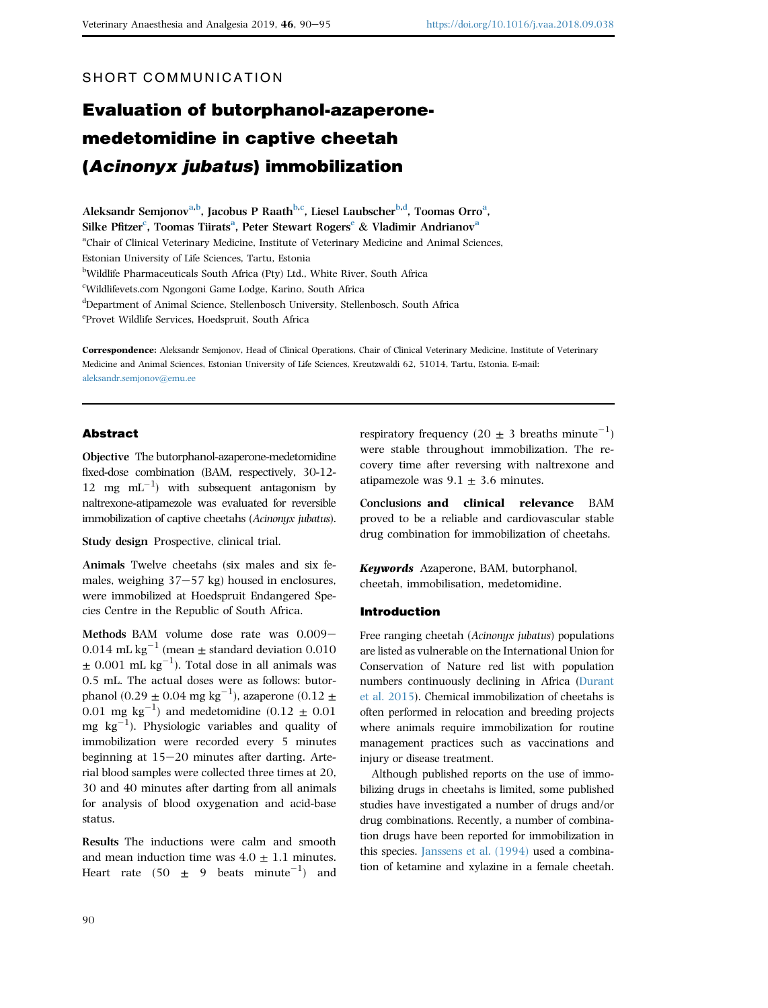# SHORT COMMUNICATION

# Evaluation of butorphanol-azaperonemedetomidine in captive cheetah (Acinonyx jubatus) immobilization

Aleksandr Semjonov<sup>a,b</sup>, Jacobus P Raath<sup>b,c</sup>, Liesel Laubscher<sup>b,d</sup>, Toomas Orro<sup>a</sup>, Silke Pfitzer $\rm ^c$ , Toomas Tiirats $\rm ^a$ , Peter Stewart Rogers $\rm ^e$  & Vladimir Andrianov $\rm ^a$ <sup>a</sup>Chair of Clinical Veterinary Medicine, Institute of Veterinary Medicine and Animal Sciences, Estonian University of Life Sciences, Tartu, Estonia <sup>b</sup>Wildlife Pharmaceuticals South Africa (Pty) Ltd., White River, South Africa c Wildlifevets.com Ngongoni Game Lodge, Karino, South Africa d Department of Animal Science, Stellenbosch University, Stellenbosch, South Africa e Provet Wildlife Services, Hoedspruit, South Africa

Correspondence: Aleksandr Semjonov, Head of Clinical Operations, Chair of Clinical Veterinary Medicine, Institute of Veterinary Medicine and Animal Sciences, Estonian University of Life Sciences, Kreutzwaldi 62, 51014, Tartu, Estonia. E-mail: [aleksandr.semjonov@emu.ee](mailto:aleksandr.semjonov@emu.ee)

## Abstract

Objective The butorphanol-azaperone-medetomidine fixed-dose combination (BAM, respectively, 30-12- 12 mg  $mL^{-1}$ ) with subsequent antagonism by naltrexone-atipamezole was evaluated for reversible immobilization of captive cheetahs (Acinonyx jubatus).

Study design Prospective, clinical trial.

Animals Twelve cheetahs (six males and six females, weighing  $37-57$  kg) housed in enclosures, were immobilized at Hoedspruit Endangered Species Centre in the Republic of South Africa.

Methods BAM volume dose rate was  $0.009-$ 0.014 mL kg<sup>-1</sup> (mean  $\pm$  standard deviation 0.010  $\pm$  0.001 mL kg<sup>-1</sup>). Total dose in all animals was 0.5 mL. The actual doses were as follows: butorphanol (0.29  $\pm$  0.04 mg kg<sup>-1</sup>), azaperone (0.12  $\pm$ 0.01 mg  $\text{kg}^{-1}$ ) and medetomidine (0.12  $\pm$  0.01 mg  $kg^{-1}$ ). Physiologic variables and quality of immobilization were recorded every 5 minutes beginning at  $15-20$  minutes after darting. Arterial blood samples were collected three times at 20, 30 and 40 minutes after darting from all animals for analysis of blood oxygenation and acid-base status.

Results The inductions were calm and smooth and mean induction time was  $4.0 \pm 1.1$  minutes. Heart rate (50  $\pm$  9 beats minute<sup>-1</sup>) and

respiratory frequency (20  $\pm$  3 breaths minute<sup>-1</sup>) were stable throughout immobilization. The recovery time after reversing with naltrexone and atipamezole was  $9.1 \pm 3.6$  minutes.

Conclusions and clinical relevance BAM proved to be a reliable and cardiovascular stable drug combination for immobilization of cheetahs.

Keywords Azaperone, BAM, butorphanol, cheetah, immobilisation, medetomidine.

#### Introduction

Free ranging cheetah (Acinonyx jubatus) populations are listed as vulnerable on the International Union for Conservation of Nature red list with population numbers continuously declining in Africa [\(Durant](#page-5-0) [et al. 2015](#page-5-0)). Chemical immobilization of cheetahs is often performed in relocation and breeding projects where animals require immobilization for routine management practices such as vaccinations and injury or disease treatment.

Although published reports on the use of immobilizing drugs in cheetahs is limited, some published studies have investigated a number of drugs and/or drug combinations. Recently, a number of combination drugs have been reported for immobilization in this species. [Janssens et al. \(1994\)](#page-5-0) used a combination of ketamine and xylazine in a female cheetah.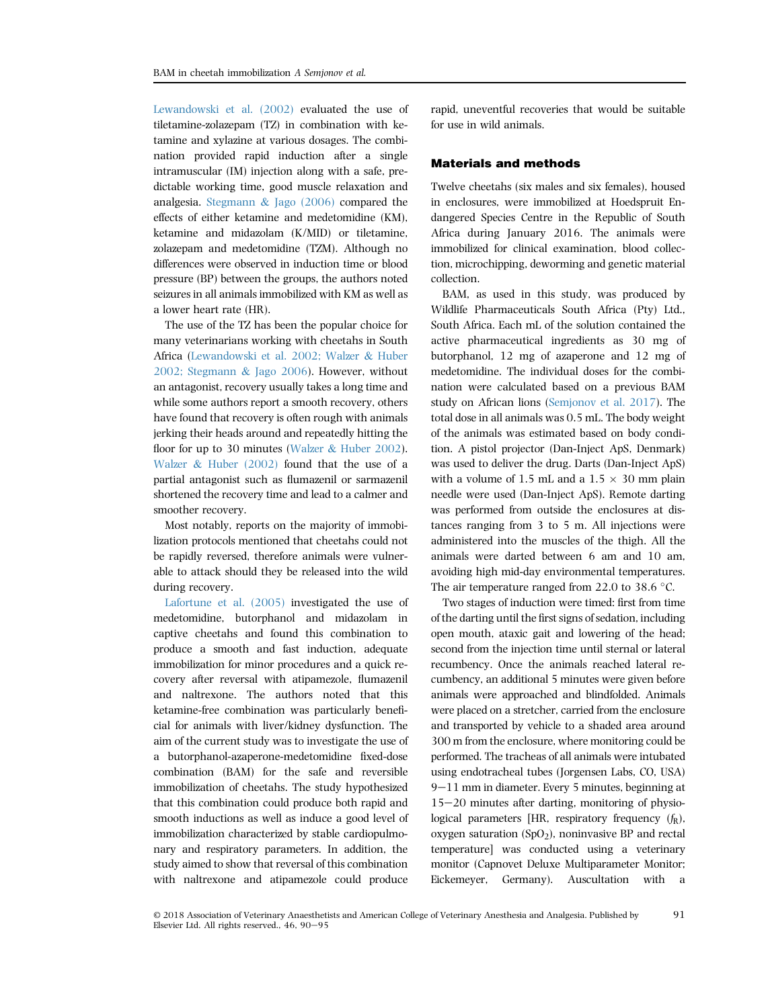[Lewandowski et al. \(2002\)](#page-5-0) evaluated the use of tiletamine-zolazepam (TZ) in combination with ketamine and xylazine at various dosages. The combination provided rapid induction after a single intramuscular (IM) injection along with a safe, predictable working time, good muscle relaxation and analgesia. [Stegmann](#page-5-0) & [Jago \(2006\)](#page-5-0) compared the effects of either ketamine and medetomidine (KM), ketamine and midazolam (K/MID) or tiletamine, zolazepam and medetomidine (TZM). Although no differences were observed in induction time or blood pressure (BP) between the groups, the authors noted seizures in all animals immobilized with KM as well as a lower heart rate (HR).

The use of the TZ has been the popular choice for many veterinarians working with cheetahs in South Africa [\(Lewandowski et al. 2002; Walzer](#page-5-0) & [Huber](#page-5-0) [2002; Stegmann](#page-5-0) & [Jago 2006\)](#page-5-0). However, without an antagonist, recovery usually takes a long time and while some authors report a smooth recovery, others have found that recovery is often rough with animals jerking their heads around and repeatedly hitting the floor for up to 30 minutes ([Walzer](#page-5-0) & [Huber 2002](#page-5-0)). [Walzer](#page-5-0) & [Huber \(2002\)](#page-5-0) found that the use of a partial antagonist such as flumazenil or sarmazenil shortened the recovery time and lead to a calmer and smoother recovery.

Most notably, reports on the majority of immobilization protocols mentioned that cheetahs could not be rapidly reversed, therefore animals were vulnerable to attack should they be released into the wild during recovery.

[Lafortune et al. \(2005\)](#page-5-0) investigated the use of medetomidine, butorphanol and midazolam in captive cheetahs and found this combination to produce a smooth and fast induction, adequate immobilization for minor procedures and a quick recovery after reversal with atipamezole, flumazenil and naltrexone. The authors noted that this ketamine-free combination was particularly beneficial for animals with liver/kidney dysfunction. The aim of the current study was to investigate the use of a butorphanol-azaperone-medetomidine fixed-dose combination (BAM) for the safe and reversible immobilization of cheetahs. The study hypothesized that this combination could produce both rapid and smooth inductions as well as induce a good level of immobilization characterized by stable cardiopulmonary and respiratory parameters. In addition, the study aimed to show that reversal of this combination with naltrexone and atipamezole could produce

rapid, uneventful recoveries that would be suitable for use in wild animals.

## Materials and methods

Twelve cheetahs (six males and six females), housed in enclosures, were immobilized at Hoedspruit Endangered Species Centre in the Republic of South Africa during January 2016. The animals were immobilized for clinical examination, blood collection, microchipping, deworming and genetic material collection.

BAM, as used in this study, was produced by Wildlife Pharmaceuticals South Africa (Pty) Ltd., South Africa. Each mL of the solution contained the active pharmaceutical ingredients as 30 mg of butorphanol, 12 mg of azaperone and 12 mg of medetomidine. The individual doses for the combination were calculated based on a previous BAM study on African lions ([Semjonov et al. 2017\)](#page-5-0). The total dose in all animals was 0.5 mL. The body weight of the animals was estimated based on body condition. A pistol projector (Dan-Inject ApS, Denmark) was used to deliver the drug. Darts (Dan-Inject ApS) with a volume of 1.5 mL and a  $1.5 \times 30$  mm plain needle were used (Dan-Inject ApS). Remote darting was performed from outside the enclosures at distances ranging from 3 to 5 m. All injections were administered into the muscles of the thigh. All the animals were darted between 6 am and 10 am, avoiding high mid-day environmental temperatures. The air temperature ranged from 22.0 to 38.6  $\degree$ C.

Two stages of induction were timed: first from time of the darting until the first signs of sedation, including open mouth, ataxic gait and lowering of the head; second from the injection time until sternal or lateral recumbency. Once the animals reached lateral recumbency, an additional 5 minutes were given before animals were approached and blindfolded. Animals were placed on a stretcher, carried from the enclosure and transported by vehicle to a shaded area around 300 m from the enclosure, where monitoring could be performed. The tracheas of all animals were intubated using endotracheal tubes (Jorgensen Labs, CO, USA)  $9-11$  mm in diameter. Every 5 minutes, beginning at  $15-20$  minutes after darting, monitoring of physiological parameters [HR, respiratory frequency  $(f_R)$ , oxygen saturation  $(SpO<sub>2</sub>)$ , noninvasive BP and rectal temperature] was conducted using a veterinary monitor (Capnovet Deluxe Multiparameter Monitor; Eickemeyer, Germany). Auscultation with a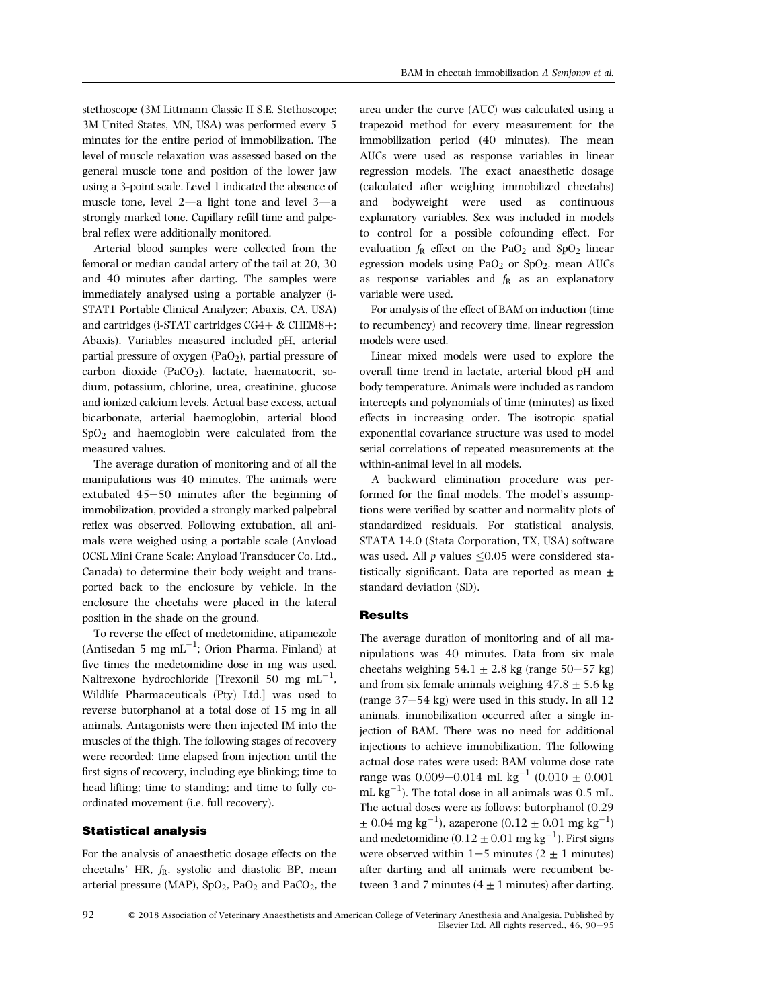stethoscope (3M Littmann Classic II S.E. Stethoscope; 3M United States, MN, USA) was performed every 5 minutes for the entire period of immobilization. The level of muscle relaxation was assessed based on the general muscle tone and position of the lower jaw using a 3-point scale. Level 1 indicated the absence of muscle tone, level  $2-a$  light tone and level  $3-a$ strongly marked tone. Capillary refill time and palpebral reflex were additionally monitored.

Arterial blood samples were collected from the femoral or median caudal artery of the tail at 20, 30 and 40 minutes after darting. The samples were immediately analysed using a portable analyzer (i-STAT1 Portable Clinical Analyzer; Abaxis, CA, USA) and cartridges (i-STAT cartridges  $CG4+\&$  CHEM8+; Abaxis). Variables measured included pH, arterial partial pressure of oxygen  $(PaO<sub>2</sub>)$ , partial pressure of carbon dioxide  $(PaCO<sub>2</sub>)$ , lactate, haematocrit, sodium, potassium, chlorine, urea, creatinine, glucose and ionized calcium levels. Actual base excess, actual bicarbonate, arterial haemoglobin, arterial blood SpO2 and haemoglobin were calculated from the measured values.

The average duration of monitoring and of all the manipulations was 40 minutes. The animals were extubated  $45-50$  minutes after the beginning of immobilization, provided a strongly marked palpebral reflex was observed. Following extubation, all animals were weighed using a portable scale (Anyload OCSL Mini Crane Scale; Anyload Transducer Co. Ltd., Canada) to determine their body weight and transported back to the enclosure by vehicle. In the enclosure the cheetahs were placed in the lateral position in the shade on the ground.

To reverse the effect of medetomidine, atipamezole  $(Antisedan 5 mg mL<sup>-1</sup>; Orion Pharma, Finland) at$ five times the medetomidine dose in mg was used. Naltrexone hydrochloride [Trexonil 50 mg  $mL^{-1}$ , Wildlife Pharmaceuticals (Pty) Ltd.] was used to reverse butorphanol at a total dose of 15 mg in all animals. Antagonists were then injected IM into the muscles of the thigh. The following stages of recovery were recorded: time elapsed from injection until the first signs of recovery, including eye blinking; time to head lifting; time to standing; and time to fully coordinated movement (i.e. full recovery).

#### Statistical analysis

For the analysis of anaesthetic dosage effects on the cheetahs'  $HR$ ,  $f_R$ , systolic and diastolic BP, mean arterial pressure (MAP),  $SpO<sub>2</sub>$ , PaO<sub>2</sub> and PaCO<sub>2</sub>, the

area under the curve (AUC) was calculated using a trapezoid method for every measurement for the immobilization period (40 minutes). The mean AUCs were used as response variables in linear regression models. The exact anaesthetic dosage (calculated after weighing immobilized cheetahs) and bodyweight were used as continuous explanatory variables. Sex was included in models to control for a possible cofounding effect. For evaluation  $f_R$  effect on the PaO<sub>2</sub> and SpO<sub>2</sub> linear egression models using  $PaO<sub>2</sub>$  or  $SpO<sub>2</sub>$ , mean AUCs as response variables and  $f_R$  as an explanatory variable were used.

For analysis of the effect of BAM on induction (time to recumbency) and recovery time, linear regression models were used.

Linear mixed models were used to explore the overall time trend in lactate, arterial blood pH and body temperature. Animals were included as random intercepts and polynomials of time (minutes) as fixed effects in increasing order. The isotropic spatial exponential covariance structure was used to model serial correlations of repeated measurements at the within-animal level in all models.

A backward elimination procedure was performed for the final models. The model's assumptions were verified by scatter and normality plots of standardized residuals. For statistical analysis, STATA 14.0 (Stata Corporation, TX, USA) software was used. All  $p$  values  $\leq 0.05$  were considered statistically significant. Data are reported as mean  $\pm$ standard deviation (SD).

### **Results**

The average duration of monitoring and of all manipulations was 40 minutes. Data from six male cheetahs weighing  $54.1 \pm 2.8$  kg (range  $50-57$  kg) and from six female animals weighing  $47.8 \pm 5.6$  kg (range  $37-54$  kg) were used in this study. In all 12 animals, immobilization occurred after a single injection of BAM. There was no need for additional injections to achieve immobilization. The following actual dose rates were used: BAM volume dose rate range was  $0.009-0.014$  mL kg<sup>-1</sup> (0.010  $\pm$  0.001 mL  $\text{kg}^{-1}$ ). The total dose in all animals was 0.5 mL. The actual doses were as follows: butorphanol (0.29  $\pm$  0.04 mg kg<sup>-1</sup>), azaperone (0.12  $\pm$  0.01 mg kg<sup>-1</sup>) and medetomidine  $(0.12 \pm 0.01 \text{ mg kg}^{-1})$ . First signs were observed within  $1-5$  minutes (2  $\pm$  1 minutes) after darting and all animals were recumbent between 3 and 7 minutes  $(4 \pm 1$  minutes) after darting.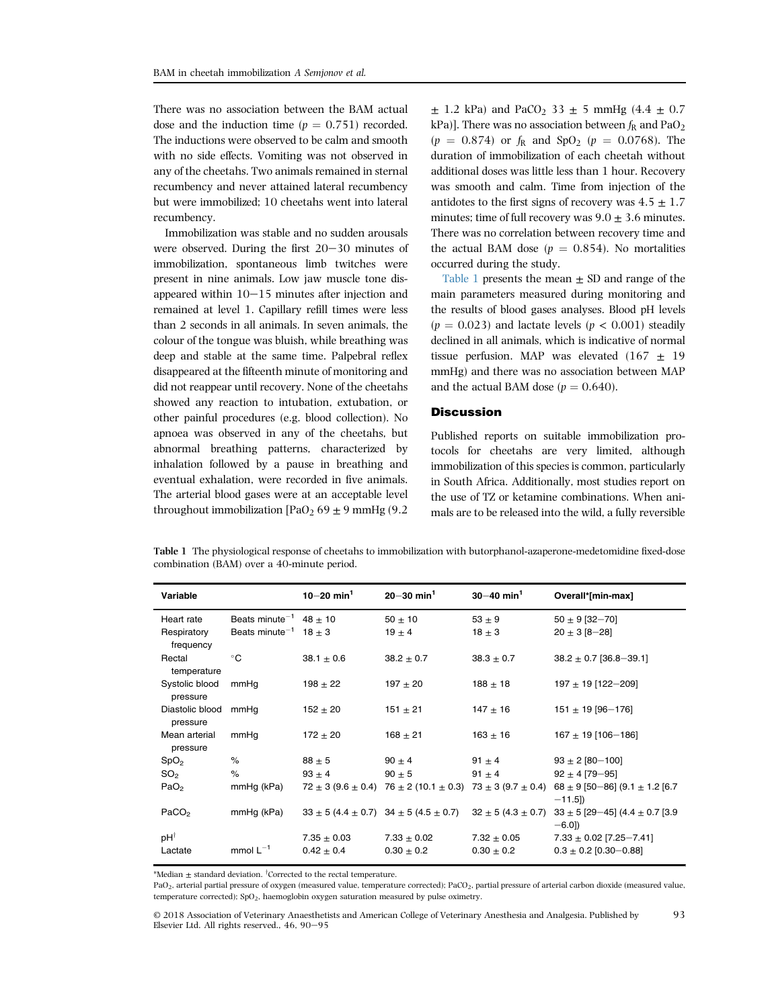There was no association between the BAM actual dose and the induction time  $(p = 0.751)$  recorded. The inductions were observed to be calm and smooth with no side effects. Vomiting was not observed in any of the cheetahs. Two animals remained in sternal recumbency and never attained lateral recumbency but were immobilized; 10 cheetahs went into lateral recumbency.

Immobilization was stable and no sudden arousals were observed. During the first  $20-30$  minutes of immobilization, spontaneous limb twitches were present in nine animals. Low jaw muscle tone disappeared within  $10-15$  minutes after injection and remained at level 1. Capillary refill times were less than 2 seconds in all animals. In seven animals, the colour of the tongue was bluish, while breathing was deep and stable at the same time. Palpebral reflex disappeared at the fifteenth minute of monitoring and did not reappear until recovery. None of the cheetahs showed any reaction to intubation, extubation, or other painful procedures (e.g. blood collection). No apnoea was observed in any of the cheetahs, but abnormal breathing patterns, characterized by inhalation followed by a pause in breathing and eventual exhalation, were recorded in five animals. The arterial blood gases were at an acceptable level throughout immobilization  $[PaO<sub>2</sub> 69 \pm 9$  mmHg (9.2)

 $\pm$  1.2 kPa) and PaCO<sub>2</sub> 33  $\pm$  5 mmHg (4.4  $\pm$  0.7 kPa)]. There was no association between  $f_R$  and PaO<sub>2</sub>  $(p = 0.874)$  or  $f_R$  and  $SpO<sub>2</sub>$   $(p = 0.0768)$ . The duration of immobilization of each cheetah without additional doses was little less than 1 hour. Recovery was smooth and calm. Time from injection of the antidotes to the first signs of recovery was  $4.5 \pm 1.7$ minutes; time of full recovery was  $9.0 \pm 3.6$  minutes. There was no correlation between recovery time and the actual BAM dose ( $p = 0.854$ ). No mortalities occurred during the study.

Table 1 presents the mean  $\pm$  SD and range of the main parameters measured during monitoring and the results of blood gases analyses. Blood pH levels  $(p = 0.023)$  and lactate levels  $(p < 0.001)$  steadily declined in all animals, which is indicative of normal tissue perfusion. MAP was elevated  $(167 + 19)$ mmHg) and there was no association between MAP and the actual BAM dose  $(p = 0.640)$ .

# **Discussion**

Published reports on suitable immobilization protocols for cheetahs are very limited, although immobilization of this species is common, particularly in South Africa. Additionally, most studies report on the use of TZ or ketamine combinations. When animals are to be released into the wild, a fully reversible

Table 1 The physiological response of cheetahs to immobilization with butorphanol-azaperone-medetomidine fixed-dose combination (BAM) over a 40-minute period.

| Variable                         |                                        | $10 - 20$ min <sup>1</sup> | $20 - 30$ min <sup>1</sup> | $30 - 40$ min <sup>1</sup> | Overall*[min-max]                                                                                                                      |
|----------------------------------|----------------------------------------|----------------------------|----------------------------|----------------------------|----------------------------------------------------------------------------------------------------------------------------------------|
| Heart rate                       | Beats minute <sup>-1</sup> 48 $\pm$ 10 |                            | $50 \pm 10$                | $53 \pm 9$                 | $50 \pm 9$ [32-70]                                                                                                                     |
| Respiratory<br>frequency         | Beats minute <sup>-1</sup> 18 $\pm$ 3  |                            | $19 \pm 4$                 | $18 \pm 3$                 | $20 \pm 3 [8 - 28]$                                                                                                                    |
| Rectal<br>temperature            | $^{\circ}$ C                           | $38.1 \pm 0.6$             | $38.2 \pm 0.7$             | $38.3 \pm 0.7$             | $38.2 \pm 0.7$ [36.8-39.1]                                                                                                             |
| Systolic blood<br>pressure       | mmHq                                   | $198 \pm 22$               | $197 \pm 20$               | $188 \pm 18$               | 197 ± 19 [122-209]                                                                                                                     |
| Diastolic blood mmHq<br>pressure |                                        | $152 \pm 20$               | $151 \pm 21$               | $147 \pm 16$               | $151 \pm 19$ [96-176]                                                                                                                  |
| Mean arterial<br>pressure        | mmHg                                   | $172 \pm 20$               | $168 \pm 21$               | $163 \pm 16$               | $167 \pm 19$ [106-186]                                                                                                                 |
| SpO <sub>2</sub>                 | %                                      | $88 \pm 5$                 | $90 \pm 4$                 | 91 $\pm$ 4                 | $93 \pm 2$ [80-100]                                                                                                                    |
| SO <sub>2</sub>                  | $\%$                                   | $93 \pm 4$                 | $90 \pm 5$                 | 91 $\pm$ 4                 | $92 \pm 4$ [79-95]                                                                                                                     |
| PaO <sub>2</sub>                 | mmHg (kPa)                             |                            |                            |                            | $72 \pm 3$ (9.6 $\pm$ 0.4) $76 \pm 2$ (10.1 $\pm$ 0.3) $73 \pm 3$ (9.7 $\pm$ 0.4) 68 $\pm$ 9 [50-86] (9.1 $\pm$ 1.2 [6.7]<br>$-11.5$ ] |
| PaCO <sub>2</sub>                | mmHg (kPa)                             |                            |                            |                            | $33 \pm 5 (4.4 \pm 0.7)$ $34 \pm 5 (4.5 \pm 0.7)$ $32 \pm 5 (4.3 \pm 0.7)$ $33 \pm 5 [29-45] (4.4 \pm 0.7)$ $3.9$<br>$-6.0$ ]          |
| pH <sup>†</sup>                  |                                        | $7.35 \pm 0.03$            | $7.33 \pm 0.02$            | $7.32 \pm 0.05$            | $7.33 \pm 0.02$ [7.25-7.41]                                                                                                            |
| Lactate                          | mmol $L^{-1}$                          | $0.42 \pm 0.4$             | $0.30 \pm 0.2$             | $0.30 \pm 0.2$             | $0.3 \pm 0.2$ [0.30-0.88]                                                                                                              |

\*Median  $\pm$  standard deviation. <sup>†</sup>Corrected to the rectal temperature.

PaO<sub>2</sub>, arterial partial pressure of oxygen (measured value, temperature corrected); PaCO<sub>2</sub>, partial pressure of arterial carbon dioxide (measured value, temperature corrected);  $SpO<sub>2</sub>$ , haemoglobin oxygen saturation measured by pulse oximetry.

© 2018 Association of Veterinary Anaesthetists and American College of Veterinary Anesthesia and Analgesia. Published by Elsevier Ltd. All rights reserved., 46, 90-95 93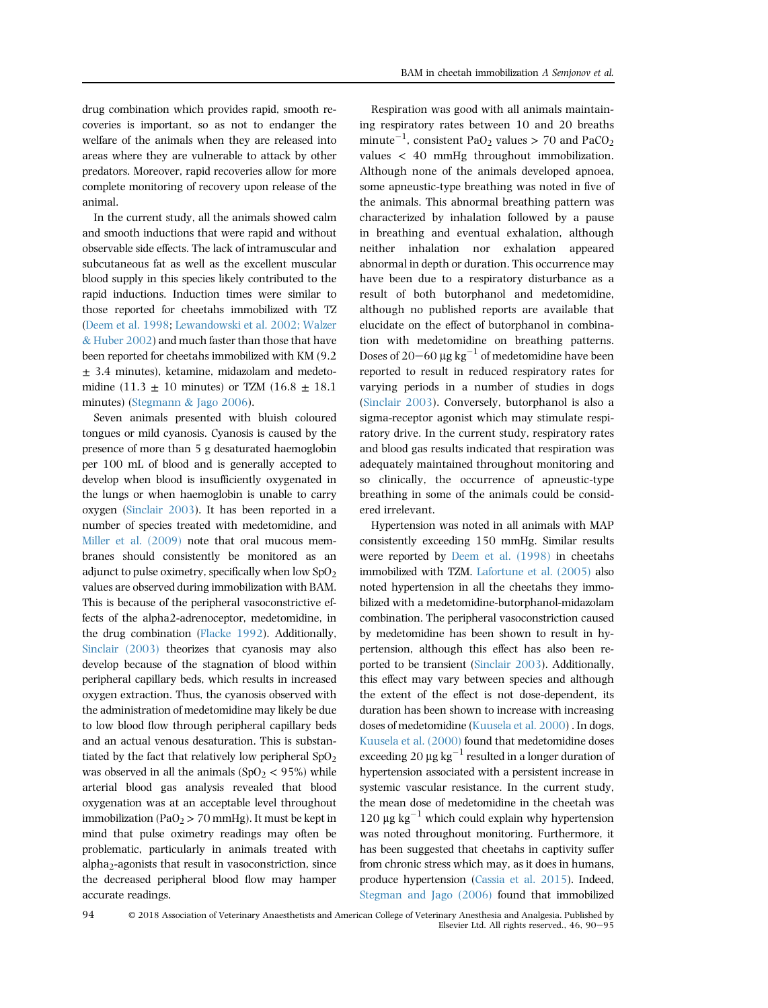drug combination which provides rapid, smooth recoveries is important, so as not to endanger the welfare of the animals when they are released into areas where they are vulnerable to attack by other predators. Moreover, rapid recoveries allow for more complete monitoring of recovery upon release of the animal.

In the current study, all the animals showed calm and smooth inductions that were rapid and without observable side effects. The lack of intramuscular and subcutaneous fat as well as the excellent muscular blood supply in this species likely contributed to the rapid inductions. Induction times were similar to those reported for cheetahs immobilized with TZ ([Deem et al. 1998](#page-5-0); [Lewandowski et al. 2002; Walzer](#page-5-0) & [Huber 2002](#page-5-0)) and much faster than those that have been reported for cheetahs immobilized with KM (9.2 ± 3.4 minutes), ketamine, midazolam and medetomidine (11.3  $\pm$  10 minutes) or TZM (16.8  $\pm$  18.1 minutes) [\(Stegmann](#page-5-0) & [Jago 2006](#page-5-0)).

Seven animals presented with bluish coloured tongues or mild cyanosis. Cyanosis is caused by the presence of more than 5 g desaturated haemoglobin per 100 mL of blood and is generally accepted to develop when blood is insufficiently oxygenated in the lungs or when haemoglobin is unable to carry oxygen [\(Sinclair 2003](#page-5-0)). It has been reported in a number of species treated with medetomidine, and [Miller et al. \(2009\)](#page-5-0) note that oral mucous membranes should consistently be monitored as an adjunct to pulse oximetry, specifically when low  $SpO<sub>2</sub>$ values are observed during immobilization with BAM. This is because of the peripheral vasoconstrictive effects of the alpha2-adrenoceptor, medetomidine, in the drug combination ([Flacke 1992\)](#page-5-0). Additionally, [Sinclair \(2003\)](#page-5-0) theorizes that cyanosis may also develop because of the stagnation of blood within peripheral capillary beds, which results in increased oxygen extraction. Thus, the cyanosis observed with the administration of medetomidine may likely be due to low blood flow through peripheral capillary beds and an actual venous desaturation. This is substantiated by the fact that relatively low peripheral  $SpO<sub>2</sub>$ was observed in all the animals  $(SpO<sub>2</sub> < 95%)$  while arterial blood gas analysis revealed that blood oxygenation was at an acceptable level throughout immobilization (PaO<sub>2</sub> > 70 mmHg). It must be kept in mind that pulse oximetry readings may often be problematic, particularly in animals treated with alpha<sub>2</sub>-agonists that result in vasoconstriction, since the decreased peripheral blood flow may hamper accurate readings.

Respiration was good with all animals maintaining respiratory rates between 10 and 20 breaths minute $^{-1}$ , consistent PaO<sub>2</sub> values > 70 and PaCO<sub>2</sub> values < 40 mmHg throughout immobilization. Although none of the animals developed apnoea, some apneustic-type breathing was noted in five of the animals. This abnormal breathing pattern was characterized by inhalation followed by a pause in breathing and eventual exhalation, although neither inhalation nor exhalation appeared abnormal in depth or duration. This occurrence may have been due to a respiratory disturbance as a result of both butorphanol and medetomidine, although no published reports are available that elucidate on the effect of butorphanol in combination with medetomidine on breathing patterns. Doses of 20-60  $\mu$ g kg<sup>-1</sup> of medetomidine have been reported to result in reduced respiratory rates for varying periods in a number of studies in dogs ([Sinclair 2003\)](#page-5-0). Conversely, butorphanol is also a sigma-receptor agonist which may stimulate respiratory drive. In the current study, respiratory rates and blood gas results indicated that respiration was adequately maintained throughout monitoring and so clinically, the occurrence of apneustic-type breathing in some of the animals could be considered irrelevant.

Hypertension was noted in all animals with MAP consistently exceeding 150 mmHg. Similar results were reported by [Deem et al. \(1998\)](#page-5-0) in cheetahs immobilized with TZM. [Lafortune et al. \(2005\)](#page-5-0) also noted hypertension in all the cheetahs they immobilized with a medetomidine-butorphanol-midazolam combination. The peripheral vasoconstriction caused by medetomidine has been shown to result in hypertension, although this effect has also been reported to be transient ([Sinclair 2003\)](#page-5-0). Additionally, this effect may vary between species and although the extent of the effect is not dose-dependent, its duration has been shown to increase with increasing doses of medetomidine ([Kuusela et al. 2000\)](#page-5-0) . In dogs, [Kuusela et al. \(2000\)](#page-5-0) found that medetomidine doses exceeding 20  $\mu$ g kg<sup>-1</sup> resulted in a longer duration of hypertension associated with a persistent increase in systemic vascular resistance. In the current study, the mean dose of medetomidine in the cheetah was 120  $\mu$ g kg<sup>-1</sup> which could explain why hypertension was noted throughout monitoring. Furthermore, it has been suggested that cheetahs in captivity suffer from chronic stress which may, as it does in humans, produce hypertension ([Cassia et al. 2015\)](#page-5-0). Indeed, [Stegman and Jago \(2006\)](#page-5-0) found that immobilized